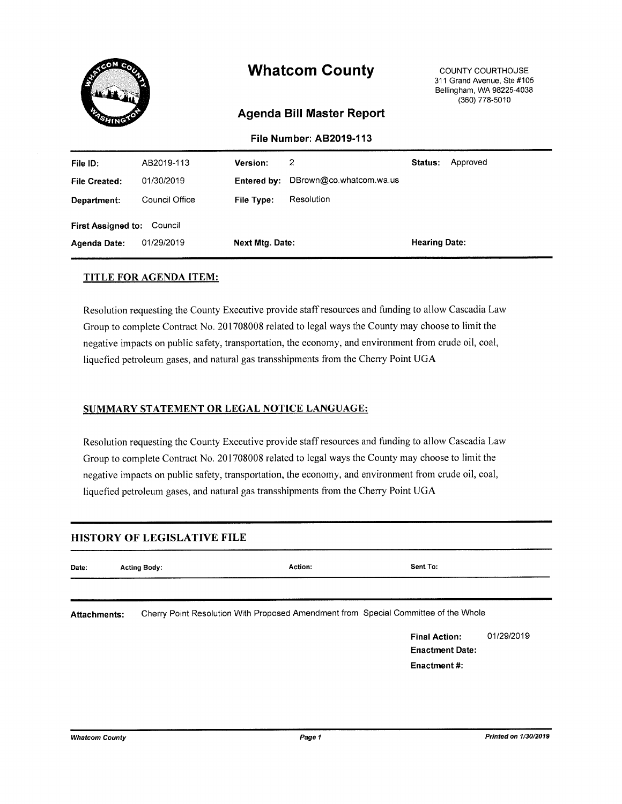

#### **TITLE FOR AGENDA ITEM:**

Resolution requesting the County Executive provide staff resources and funding to allow Cascadia Law Group to complete Contract No. 201708008 related to legal ways the County may choose to limit the negative impacts on public safety, transportation, the economy, and environment from crude oil, coal, liquefied petroleum gases, and natural gas transshipments from the Cherry Point UGA

#### SUMMARY STATEMENT OR LEGAL NOTICE LANGUAGE:

Resolution requesting the County Executive provide staff resources and funding to allow Cascadia Law Group to complete Contract No. 201708008 related to legal ways the County may choose to limit the negative impacts on public safety, transportation, the economy, and environment from crude oil, coal, liquefied petroleum gases, and natural gas transshipments from the Cherry Point UGA

#### **HISTORY OF LEGISLATIVE FILE**

| Date:               | <b>Acting Body:</b>                                                                 | Action: | Sent To:                                       |            |
|---------------------|-------------------------------------------------------------------------------------|---------|------------------------------------------------|------------|
| <b>Attachments:</b> | Cherry Point Resolution With Proposed Amendment from Special Committee of the Whole |         |                                                |            |
|                     |                                                                                     |         | <b>Final Action:</b><br><b>Enactment Date:</b> | 01/29/2019 |
|                     |                                                                                     |         | Enactment#:                                    |            |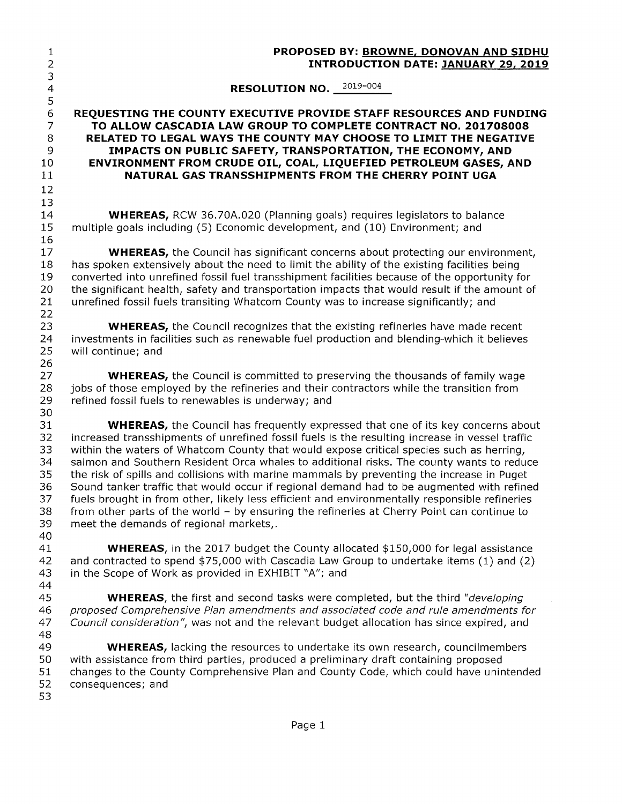| $\mathbf{1}$<br>$\overline{2}$                                | PROPOSED BY: BROWNE, DONOVAN AND SIDHU<br><b>INTRODUCTION DATE: JANUARY 29, 2019</b>                                                                                                                                                                                                                                                                                                                                                                                                                                                                                                                                                                                                                                                                                                                                |
|---------------------------------------------------------------|---------------------------------------------------------------------------------------------------------------------------------------------------------------------------------------------------------------------------------------------------------------------------------------------------------------------------------------------------------------------------------------------------------------------------------------------------------------------------------------------------------------------------------------------------------------------------------------------------------------------------------------------------------------------------------------------------------------------------------------------------------------------------------------------------------------------|
| 3<br>$\overline{4}$                                           | RESOLUTION NO. 2019-004                                                                                                                                                                                                                                                                                                                                                                                                                                                                                                                                                                                                                                                                                                                                                                                             |
| 5<br>$\epsilon$<br>$\overline{7}$<br>8<br>9<br>10<br>11<br>12 | REQUESTING THE COUNTY EXECUTIVE PROVIDE STAFF RESOURCES AND FUNDING<br>TO ALLOW CASCADIA LAW GROUP TO COMPLETE CONTRACT NO. 201708008<br>RELATED TO LEGAL WAYS THE COUNTY MAY CHOOSE TO LIMIT THE NEGATIVE<br>IMPACTS ON PUBLIC SAFETY, TRANSPORTATION, THE ECONOMY, AND<br>ENVIRONMENT FROM CRUDE OIL, COAL, LIQUEFIED PETROLEUM GASES, AND<br>NATURAL GAS TRANSSHIPMENTS FROM THE CHERRY POINT UGA                                                                                                                                                                                                                                                                                                                                                                                                                |
| 13<br>14<br>15                                                | <b>WHEREAS, RCW 36.70A.020 (Planning goals) requires legislators to balance</b><br>multiple goals including (5) Economic development, and (10) Environment; and                                                                                                                                                                                                                                                                                                                                                                                                                                                                                                                                                                                                                                                     |
| 16<br>17<br>18<br>19<br>20<br>21<br>22                        | <b>WHEREAS,</b> the Council has significant concerns about protecting our environment,<br>has spoken extensively about the need to limit the ability of the existing facilities being<br>converted into unrefined fossil fuel transshipment facilities because of the opportunity for<br>the significant health, safety and transportation impacts that would result if the amount of<br>unrefined fossil fuels transiting Whatcom County was to increase significantly; and                                                                                                                                                                                                                                                                                                                                        |
| 23<br>24<br>25<br>26                                          | <b>WHEREAS,</b> the Council recognizes that the existing refineries have made recent<br>investments in facilities such as renewable fuel production and blending-which it believes<br>will continue; and                                                                                                                                                                                                                                                                                                                                                                                                                                                                                                                                                                                                            |
| 27<br>28<br>29<br>30                                          | <b>WHEREAS,</b> the Council is committed to preserving the thousands of family wage<br>jobs of those employed by the refineries and their contractors while the transition from<br>refined fossil fuels to renewables is underway; and                                                                                                                                                                                                                                                                                                                                                                                                                                                                                                                                                                              |
| 31<br>32<br>33<br>34<br>35<br>36<br>37<br>38<br>39<br>40      | <b>WHEREAS,</b> the Council has frequently expressed that one of its key concerns about<br>increased transshipments of unrefined fossil fuels is the resulting increase in vessel traffic<br>within the waters of Whatcom County that would expose critical species such as herring,<br>salmon and Southern Resident Orca whales to additional risks. The county wants to reduce<br>the risk of spills and collisions with marine mammals by preventing the increase in Puget<br>Sound tanker traffic that would occur if regional demand had to be augmented with refined<br>fuels brought in from other, likely less efficient and environmentally responsible refineries<br>from other parts of the world - by ensuring the refineries at Cherry Point can continue to<br>meet the demands of regional markets,. |
| 41<br>42<br>43<br>44                                          | <b>WHEREAS</b> , in the 2017 budget the County allocated \$150,000 for legal assistance<br>and contracted to spend \$75,000 with Cascadia Law Group to undertake items (1) and (2)<br>in the Scope of Work as provided in EXHIBIT "A"; and                                                                                                                                                                                                                                                                                                                                                                                                                                                                                                                                                                          |
| 45<br>46<br>47<br>48                                          | <b>WHEREAS</b> , the first and second tasks were completed, but the third "developing<br>proposed Comprehensive Plan amendments and associated code and rule amendments for<br>Council consideration", was not and the relevant budget allocation has since expired, and                                                                                                                                                                                                                                                                                                                                                                                                                                                                                                                                            |
| 49<br>50<br>51<br>52<br>53                                    | <b>WHEREAS, lacking the resources to undertake its own research, councilmembers</b><br>with assistance from third parties, produced a preliminary draft containing proposed<br>changes to the County Comprehensive Plan and County Code, which could have unintended<br>consequences; and                                                                                                                                                                                                                                                                                                                                                                                                                                                                                                                           |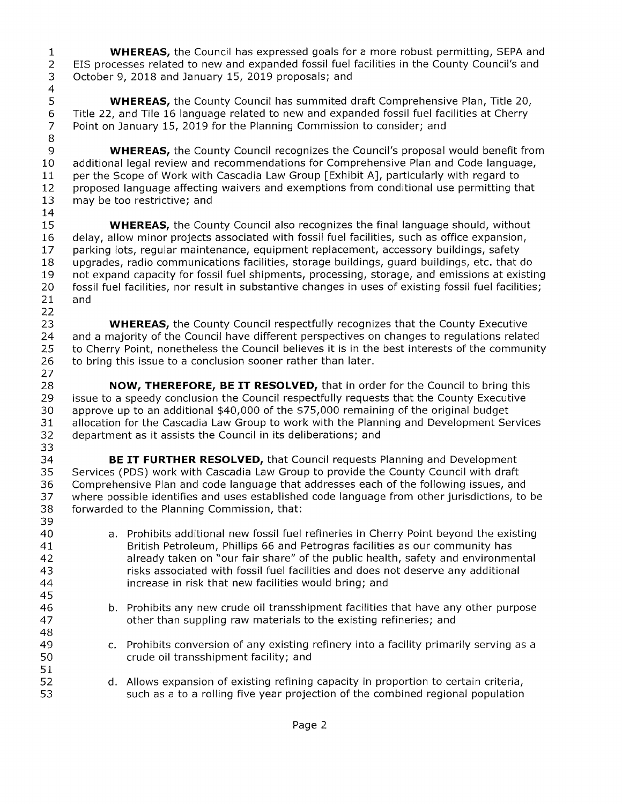**WHEREAS,** the Council has expressed goals for a more robust permitting, SEPA and  $\mathbf{1}$  $\overline{2}$ EIS processes related to new and expanded fossil fuel facilities in the County Council's and  $\mathfrak{Z}$ October 9, 2018 and January 15, 2019 proposals; and  $\overline{4}$ 

5 WHEREAS, the County Council has summited draft Comprehensive Plan, Title 20, 6 Title 22, and Tile 16 language related to new and expanded fossil fuel facilities at Cherry  $\overline{7}$ Point on January 15, 2019 for the Planning Commission to consider; and

8 9 **WHEREAS,** the County Council recognizes the Council's proposal would benefit from 10 additional legal review and recommendations for Comprehensive Plan and Code language,  $11$ per the Scope of Work with Cascadia Law Group [Exhibit A], particularly with regard to proposed language affecting waivers and exemptions from conditional use permitting that  $12<sub>2</sub>$ 13 may be too restrictive; and 14

15 **WHEREAS,** the County Council also recognizes the final language should, without delay, allow minor projects associated with fossil fuel facilities, such as office expansion, 16 parking lots, regular maintenance, equipment replacement, accessory buildings, safety 17 18 upgrades, radio communications facilities, storage buildings, guard buildings, etc. that do 19 not expand capacity for fossil fuel shipments, processing, storage, and emissions at existing 20 fossil fuel facilities, nor result in substantive changes in uses of existing fossil fuel facilities;  $21$ and

22 23 **WHEREAS, the County Council respectfully recognizes that the County Executive** 24 and a majority of the Council have different perspectives on changes to regulations related 25 to Cherry Point, nonetheless the Council believes it is in the best interests of the community 26 to bring this issue to a conclusion sooner rather than later.

27 28 NOW, THEREFORE, BE IT RESOLVED, that in order for the Council to bring this 29 issue to a speedy conclusion the Council respectfully requests that the County Executive 30 approve up to an additional \$40,000 of the \$75,000 remaining of the original budget 31 allocation for the Cascadia Law Group to work with the Planning and Development Services 32 department as it assists the Council in its deliberations; and 33

34 BE IT FURTHER RESOLVED, that Council requests Planning and Development 35 Services (PDS) work with Cascadia Law Group to provide the County Council with draft Comprehensive Plan and code language that addresses each of the following issues, and 36 37 where possible identifies and uses established code language from other jurisdictions, to be 38 forwarded to the Planning Commission, that:

39 40 a. Prohibits additional new fossil fuel refineries in Cherry Point beyond the existing British Petroleum, Phillips 66 and Petrogras facilities as our community has 41 42 already taken on "our fair share" of the public health, safety and environmental 43 risks associated with fossil fuel facilities and does not deserve any additional 44 increase in risk that new facilities would bring; and 45 b. Prohibits any new crude oil transshipment facilities that have any other purpose 46 47 other than suppling raw materials to the existing refineries; and 48 c. Prohibits conversion of any existing refinery into a facility primarily serving as a 49 50 crude oil transshipment facility; and 51 52 d. Allows expansion of existing refining capacity in proportion to certain criteria, 53 such as a to a rolling five year projection of the combined regional population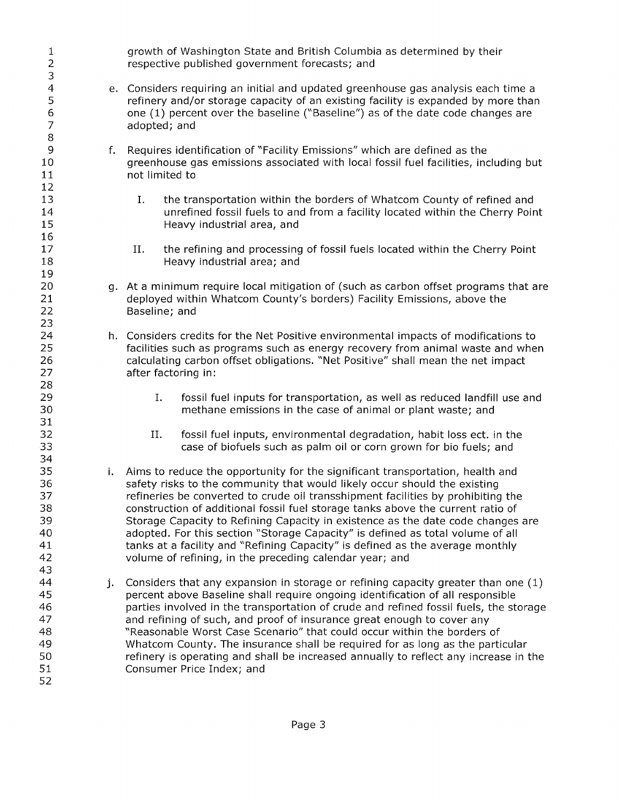| $\mathbf{1}$<br>$\mathbf{2}$<br>3                              | growth of Washington State and British Columbia as determined by their<br>respective published government forecasts; and                                                                                                                                                                                                                                                                                                                                                                                                                                                                                                                           |
|----------------------------------------------------------------|----------------------------------------------------------------------------------------------------------------------------------------------------------------------------------------------------------------------------------------------------------------------------------------------------------------------------------------------------------------------------------------------------------------------------------------------------------------------------------------------------------------------------------------------------------------------------------------------------------------------------------------------------|
| $\overline{\mathbf{4}}$<br>5<br>6<br>$\overline{7}$<br>$\,8\,$ | e. Considers requiring an initial and updated greenhouse gas analysis each time a<br>refinery and/or storage capacity of an existing facility is expanded by more than<br>one (1) percent over the baseline ("Baseline") as of the date code changes are<br>adopted; and                                                                                                                                                                                                                                                                                                                                                                           |
| 9<br>f.<br>10<br>11<br>12                                      | Requires identification of "Facility Emissions" which are defined as the<br>greenhouse gas emissions associated with local fossil fuel facilities, including but<br>not limited to                                                                                                                                                                                                                                                                                                                                                                                                                                                                 |
| 13<br>14<br>15<br>16                                           | the transportation within the borders of Whatcom County of refined and<br>Ι.<br>unrefined fossil fuels to and from a facility located within the Cherry Point<br>Heavy industrial area, and                                                                                                                                                                                                                                                                                                                                                                                                                                                        |
| 17<br>18<br>19                                                 | Π.<br>the refining and processing of fossil fuels located within the Cherry Point<br>Heavy industrial area; and                                                                                                                                                                                                                                                                                                                                                                                                                                                                                                                                    |
| 20<br>21<br>22<br>23                                           | g. At a minimum require local mitigation of (such as carbon offset programs that are<br>deployed within Whatcom County's borders) Facility Emissions, above the<br>Baseline; and                                                                                                                                                                                                                                                                                                                                                                                                                                                                   |
| 24<br>25<br>26<br>27<br>28                                     | h. Considers credits for the Net Positive environmental impacts of modifications to<br>facilities such as programs such as energy recovery from animal waste and when<br>calculating carbon offset obligations. "Net Positive" shall mean the net impact<br>after factoring in:                                                                                                                                                                                                                                                                                                                                                                    |
| 29<br>30<br>31                                                 | I.<br>fossil fuel inputs for transportation, as well as reduced landfill use and<br>methane emissions in the case of animal or plant waste; and                                                                                                                                                                                                                                                                                                                                                                                                                                                                                                    |
| 32<br>33<br>34                                                 | fossil fuel inputs, environmental degradation, habit loss ect. in the<br>II.<br>case of biofuels such as palm oil or corn grown for bio fuels; and                                                                                                                                                                                                                                                                                                                                                                                                                                                                                                 |
| 35<br>i.<br>36<br>37<br>38<br>39<br>40<br>41<br>42<br>43       | Aims to reduce the opportunity for the significant transportation, health and<br>safety risks to the community that would likely occur should the existing<br>refineries be converted to crude oil transshipment facilities by prohibiting the<br>construction of additional fossil fuel storage tanks above the current ratio of<br>Storage Capacity to Refining Capacity in existence as the date code changes are<br>adopted. For this section "Storage Capacity" is defined as total volume of all<br>tanks at a facility and "Refining Capacity" is defined as the average monthly<br>volume of refining, in the preceding calendar year; and |
| 44<br>j.<br>45<br>46<br>47<br>48<br>49<br>50<br>51<br>52       | Considers that any expansion in storage or refining capacity greater than one (1)<br>percent above Baseline shall require ongoing identification of all responsible<br>parties involved in the transportation of crude and refined fossil fuels, the storage<br>and refining of such, and proof of insurance great enough to cover any<br>"Reasonable Worst Case Scenario" that could occur within the borders of<br>Whatcom County. The insurance shall be required for as long as the particular<br>refinery is operating and shall be increased annually to reflect any increase in the<br>Consumer Price Index; and                            |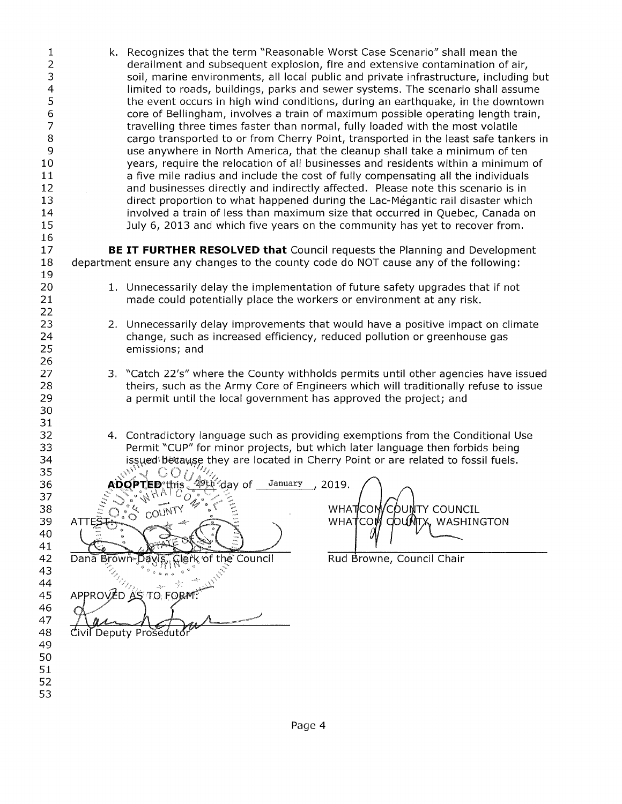| 1<br>$\overline{c}$<br>3<br>4<br>5<br>6<br>$\overline{7}$<br>$\bf8$<br>9<br>10<br>11<br>12<br>13<br>14<br>15<br>16 |               | k. Recognizes that the term "Reasonable Worst Case Scenario" shall mean the<br>derailment and subsequent explosion, fire and extensive contamination of air,<br>soil, marine environments, all local public and private infrastructure, including but<br>limited to roads, buildings, parks and sewer systems. The scenario shall assume<br>the event occurs in high wind conditions, during an earthquake, in the downtown<br>core of Bellingham, involves a train of maximum possible operating length train,<br>travelling three times faster than normal, fully loaded with the most volatile<br>cargo transported to or from Cherry Point, transported in the least safe tankers in<br>use anywhere in North America, that the cleanup shall take a minimum of ten<br>years, require the relocation of all businesses and residents within a minimum of<br>a five mile radius and include the cost of fully compensating all the individuals<br>and businesses directly and indirectly affected. Please note this scenario is in<br>direct proportion to what happened during the Lac-Mégantic rail disaster which<br>involved a train of less than maximum size that occurred in Quebec, Canada on<br>July 6, 2013 and which five years on the community has yet to recover from. |
|--------------------------------------------------------------------------------------------------------------------|---------------|-----------------------------------------------------------------------------------------------------------------------------------------------------------------------------------------------------------------------------------------------------------------------------------------------------------------------------------------------------------------------------------------------------------------------------------------------------------------------------------------------------------------------------------------------------------------------------------------------------------------------------------------------------------------------------------------------------------------------------------------------------------------------------------------------------------------------------------------------------------------------------------------------------------------------------------------------------------------------------------------------------------------------------------------------------------------------------------------------------------------------------------------------------------------------------------------------------------------------------------------------------------------------------------------|
| 17<br>18<br>19                                                                                                     |               | BE IT FURTHER RESOLVED that Council requests the Planning and Development<br>department ensure any changes to the county code do NOT cause any of the following:                                                                                                                                                                                                                                                                                                                                                                                                                                                                                                                                                                                                                                                                                                                                                                                                                                                                                                                                                                                                                                                                                                                        |
| 20<br>21<br>22                                                                                                     |               | 1. Unnecessarily delay the implementation of future safety upgrades that if not<br>made could potentially place the workers or environment at any risk.                                                                                                                                                                                                                                                                                                                                                                                                                                                                                                                                                                                                                                                                                                                                                                                                                                                                                                                                                                                                                                                                                                                                 |
| 23<br>24<br>25<br>26                                                                                               |               | 2. Unnecessarily delay improvements that would have a positive impact on climate<br>change, such as increased efficiency, reduced pollution or greenhouse gas<br>emissions; and                                                                                                                                                                                                                                                                                                                                                                                                                                                                                                                                                                                                                                                                                                                                                                                                                                                                                                                                                                                                                                                                                                         |
| 27<br>28<br>29<br>30<br>31                                                                                         |               | 3. "Catch 22's" where the County withholds permits until other agencies have issued<br>theirs, such as the Army Core of Engineers which will traditionally refuse to issue<br>a permit until the local government has approved the project; and                                                                                                                                                                                                                                                                                                                                                                                                                                                                                                                                                                                                                                                                                                                                                                                                                                                                                                                                                                                                                                         |
| 32<br>33<br>34<br>35                                                                                               |               | 4. Contradictory language such as providing exemptions from the Conditional Use<br>Permit "CUP" for minor projects, but which later language then forbids being<br>issued because they are located in Cherry Point or are related to fossil fuels.                                                                                                                                                                                                                                                                                                                                                                                                                                                                                                                                                                                                                                                                                                                                                                                                                                                                                                                                                                                                                                      |
| 36<br>37<br>38<br>39<br>40                                                                                         | AT            | <sup>2ૂ9th ⁄</sup> day of<br>January<br>2019.<br>ADOPTED this .<br>WHATCOM/COUNTY COUNCIL<br>$\sum_{o}^{n}$<br>COUNTY<br>WHATCOM<br>COUNTX, WASHINGTON                                                                                                                                                                                                                                                                                                                                                                                                                                                                                                                                                                                                                                                                                                                                                                                                                                                                                                                                                                                                                                                                                                                                  |
| 41<br>42<br>43                                                                                                     | Dana Brown-Da | Rud Browne, Council Chair<br>the Council<br>of >                                                                                                                                                                                                                                                                                                                                                                                                                                                                                                                                                                                                                                                                                                                                                                                                                                                                                                                                                                                                                                                                                                                                                                                                                                        |
| 44<br>45<br>46<br>47<br>48<br>49<br>50<br>51                                                                       |               | APPROVED AS TO FORM!<br>Civil Deputy Proseduto                                                                                                                                                                                                                                                                                                                                                                                                                                                                                                                                                                                                                                                                                                                                                                                                                                                                                                                                                                                                                                                                                                                                                                                                                                          |
| 52<br>53                                                                                                           |               |                                                                                                                                                                                                                                                                                                                                                                                                                                                                                                                                                                                                                                                                                                                                                                                                                                                                                                                                                                                                                                                                                                                                                                                                                                                                                         |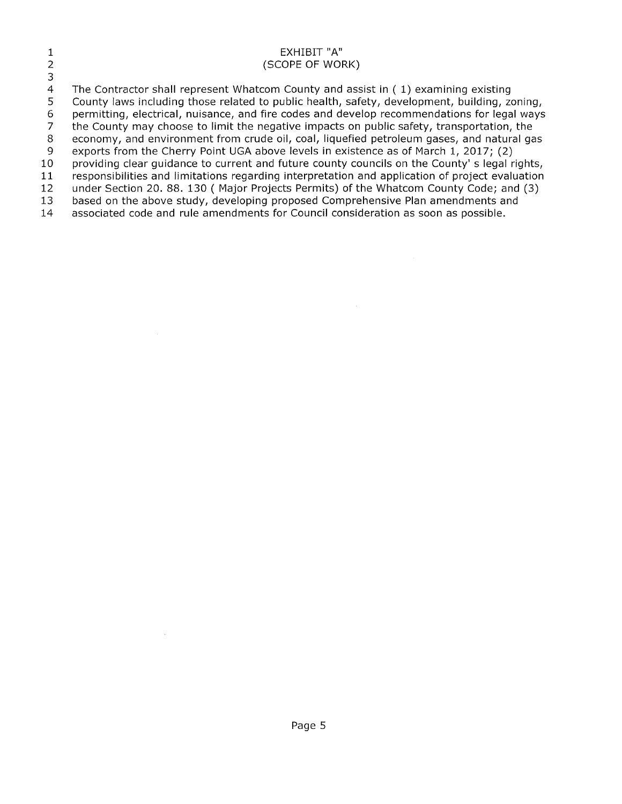|    | EXHIBIT "A"<br>(SCOPE OF WORK)                                                                  |
|----|-------------------------------------------------------------------------------------------------|
| З  |                                                                                                 |
| 4  | The Contractor shall represent Whatcom County and assist in $(1)$ examining existing            |
| 5. | County laws including those related to public health, safety, development, building, zoning,    |
| -6 | permitting, electrical, nuisance, and fire codes and develop recommendations for legal ways     |
|    | the County may choose to limit the negative impacts on public safety, transportation, the       |
| -8 | economy, and environment from crude oil, coal, liquefied petroleum gases, and natural gas       |
| -9 | exports from the Cherry Point UGA above levels in existence as of March 1, 2017; (2)            |
| 10 | providing clear guidance to current and future county councils on the County' s legal rights,   |
| 11 | responsibilities and limitations regarding interpretation and application of project evaluation |
| 12 | under Section 20. 88. 130 (Major Projects Permits) of the Whatcom County Code; and (3)          |
| 13 | based on the above study, developing proposed Comprehensive Plan amendments and                 |
| 14 | associated code and rule amendments for Council consideration as soon as possible.              |
|    |                                                                                                 |

 $\label{eq:2.1} \frac{d\mathbf{r}}{dt} = \frac{1}{2} \sum_{i=1}^n \frac{d\mathbf{r}}{dt} \mathbf{r}_i \mathbf{r}_i \mathbf{r}_i$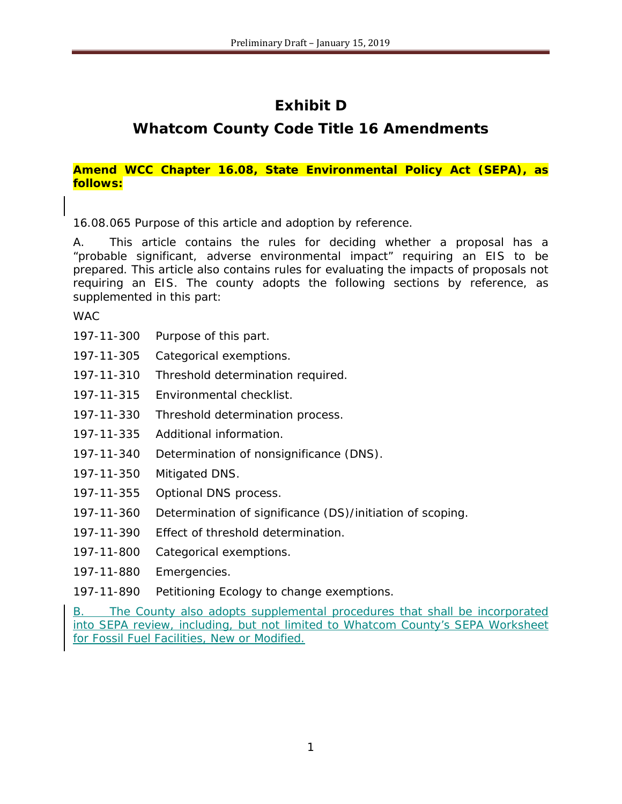# **Exhibit D**

# **Whatcom County Code Title 16 Amendments**

## *Amend WCC Chapter 16.08, State Environmental Policy Act (SEPA), as follows:*

16.08.065 Purpose of this article and adoption by reference.

A. This article contains the rules for deciding whether a proposal has a "probable significant, adverse environmental impact" requiring an EIS to be prepared. This article also contains rules for evaluating the impacts of proposals not requiring an EIS. The county adopts the following sections by reference, as supplemented in this part:

**WAC** 

- [197-11-300](https://www.codepublishing.com/cgi-bin/wac.pl?cite=197-11-300) Purpose of this part.
- [197-11-305](https://www.codepublishing.com/cgi-bin/wac.pl?cite=197-11-305) Categorical exemptions.
- [197-11-310](https://www.codepublishing.com/cgi-bin/wac.pl?cite=197-11-310) Threshold determination required.
- [197-11-315](https://www.codepublishing.com/cgi-bin/wac.pl?cite=197-11-315) Environmental checklist.
- [197-11-330](https://www.codepublishing.com/cgi-bin/wac.pl?cite=197-11-330) Threshold determination process.
- [197-11-335](https://www.codepublishing.com/cgi-bin/wac.pl?cite=197-11-335) Additional information.
- [197-11-340](https://www.codepublishing.com/cgi-bin/wac.pl?cite=197-11-340) Determination of nonsignificance (DNS).
- [197-11-350](https://www.codepublishing.com/cgi-bin/wac.pl?cite=197-11-350) Mitigated DNS.
- [197-11-355](https://www.codepublishing.com/cgi-bin/wac.pl?cite=197-11-355) Optional DNS process.
- [197-11-360](https://www.codepublishing.com/cgi-bin/wac.pl?cite=197-11-360) Determination of significance (DS)/initiation of scoping.
- [197-11-390](https://www.codepublishing.com/cgi-bin/wac.pl?cite=197-11-390) Effect of threshold determination.
- [197-11-800](https://www.codepublishing.com/cgi-bin/wac.pl?cite=197-11-800) Categorical exemptions.
- [197-11-880](https://www.codepublishing.com/cgi-bin/wac.pl?cite=197-11-880) Emergencies.
- [197-11-890](https://www.codepublishing.com/cgi-bin/wac.pl?cite=197-11-890) Petitioning Ecology to change exemptions.

B. The County also adopts supplemental procedures that shall be incorporated into SEPA review, including, but not limited to Whatcom County's SEPA Worksheet for Fossil Fuel Facilities, New or Modified.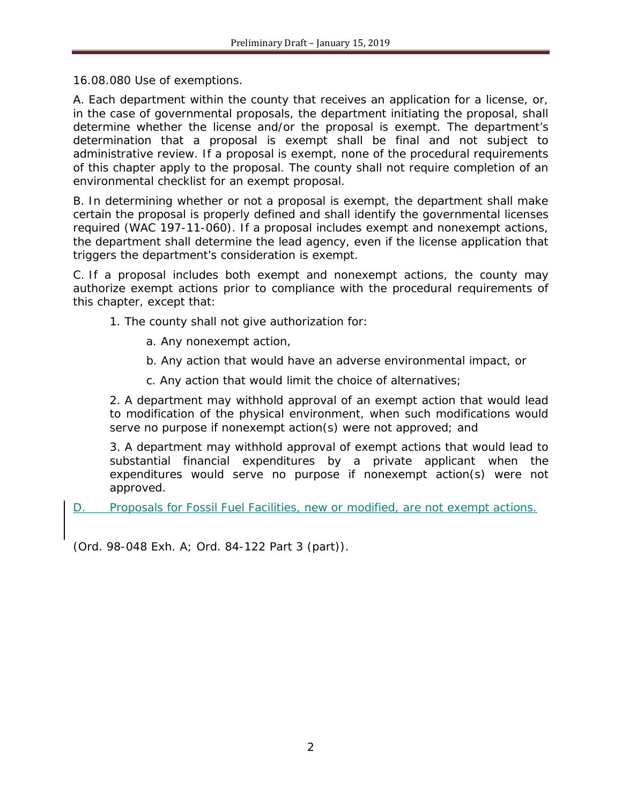16.08.080 Use of exemptions.

A. Each department within the county that receives an application for a license, or, in the case of governmental proposals, the department initiating the proposal, shall determine whether the license and/or the proposal is exempt. The department's determination that a proposal is exempt shall be final and not subject to administrative review. If a proposal is exempt, none of the procedural requirements of this chapter apply to the proposal. The county shall not require completion of an environmental checklist for an exempt proposal.

B. In determining whether or not a proposal is exempt, the department shall make certain the proposal is properly defined and shall identify the governmental licenses required (WAC [197-11-060\)](https://www.codepublishing.com/cgi-bin/wac.pl?cite=197-11-060). If a proposal includes exempt and nonexempt actions, the department shall determine the lead agency, even if the license application that triggers the department's consideration is exempt.

C. If a proposal includes both exempt and nonexempt actions, the county may authorize exempt actions prior to compliance with the procedural requirements of this chapter, except that:

- 1. The county shall not give authorization for:
	- a. Any nonexempt action,
	- b. Any action that would have an adverse environmental impact, or
	- c. Any action that would limit the choice of alternatives;

2. A department may withhold approval of an exempt action that would lead to modification of the physical environment, when such modifications would serve no purpose if nonexempt action(s) were not approved; and

3. A department may withhold approval of exempt actions that would lead to substantial financial expenditures by a private applicant when the expenditures would serve no purpose if nonexempt action(s) were not approved.

D. Proposals for Fossil Fuel Facilities, new or modified, are not exempt actions.

(Ord. 98-048 Exh. A; Ord. 84-122 Part 3 (part)).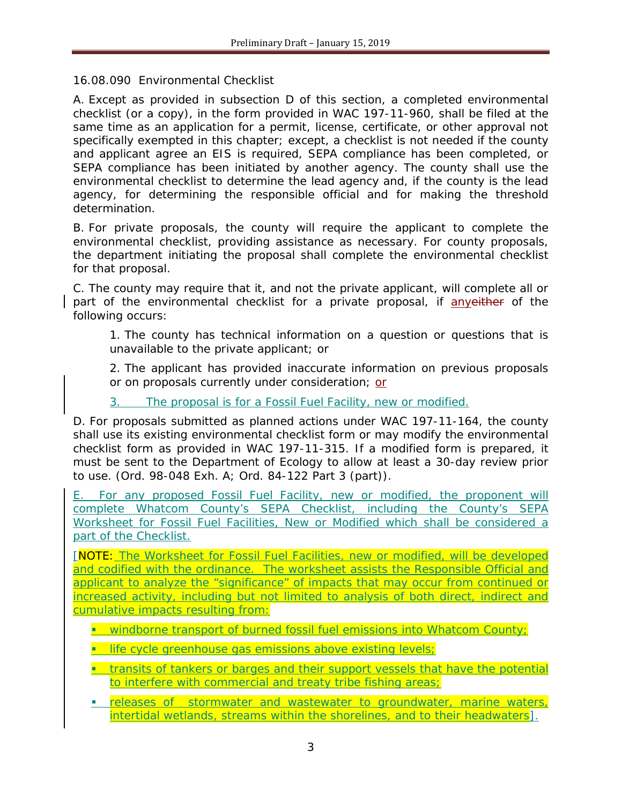## 16.08.090 Environmental Checklist

A. Except as provided in subsection D of this section, a completed environmental checklist (or a copy), in the form provided in WAC [197-11-960,](https://www.codepublishing.com/cgi-bin/wac.pl?cite=197-11-960) shall be filed at the same time as an application for a permit, license, certificate, or other approval not specifically exempted in this chapter; except, a checklist is not needed if the county and applicant agree an EIS is required, SEPA compliance has been completed, or SEPA compliance has been initiated by another agency. The county shall use the environmental checklist to determine the lead agency and, if the county is the lead agency, for determining the responsible official and for making the threshold determination.

B. For private proposals, the county will require the applicant to complete the environmental checklist, providing assistance as necessary. For county proposals, the department initiating the proposal shall complete the environmental checklist for that proposal.

C. The county may require that it, and not the private applicant, will complete all or part of the environmental checklist for a private proposal, if anyeither of the following occurs:

1. The county has technical information on a question or questions that is unavailable to the private applicant; or

2. The applicant has provided inaccurate information on previous proposals or on proposals currently under consideration; or

3. The proposal is for a Fossil Fuel Facility, new or modified.

D. For proposals submitted as planned actions under WAC [197-11-164,](https://www.codepublishing.com/cgi-bin/wac.pl?cite=197-11-164) the county shall use its existing environmental checklist form or may modify the environmental checklist form as provided in WAC [197-11-315.](https://www.codepublishing.com/cgi-bin/wac.pl?cite=197-11-315) If a modified form is prepared, it must be sent to the Department of Ecology to allow at least a 30-day review prior to use. (Ord. 98-048 Exh. A; Ord. 84-122 Part 3 (part)).

E. For any proposed Fossil Fuel Facility, new or modified, the proponent will complete Whatcom County's SEPA Checklist, including the County's SEPA Worksheet for Fossil Fuel Facilities, New or Modified which shall be considered a part of the Checklist.

*[NOTE: The Worksheet for Fossil Fuel Facilities, new or modified, will be developed and codified with the ordinance. The worksheet assists the Responsible Official and applicant to analyze the "significance" of impacts that may occur from continued or increased activity, including but not limited to analysis of both direct, indirect and cumulative impacts resulting from:*

- *windborne transport of burned fossil fuel emissions into Whatcom County;*
- **III** life cycle greenhouse gas emissions above existing levels;
- **transits of tankers or barges and their support vessels that have the potential** *to interfere with commercial and treaty tribe fishing areas;*
- *releases of stormwater and wastewater to groundwater, marine waters, intertidal wetlands, streams within the shorelines, and to their headwaters].*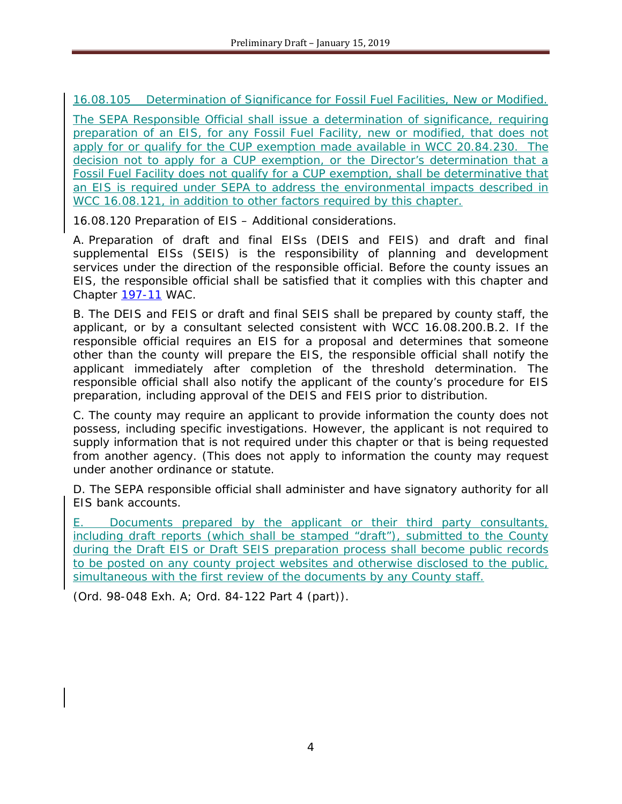16.08.105 Determination of Significance for Fossil Fuel Facilities, New or Modified.

The SEPA Responsible Official shall issue a determination of significance, requiring preparation of an EIS, for any Fossil Fuel Facility, new or modified, that does not apply for or qualify for the CUP exemption made available in WCC 20.84.230. The decision not to apply for a CUP exemption, or the Director's determination that a Fossil Fuel Facility does not qualify for a CUP exemption, shall be determinative that an EIS is required under SEPA to address the environmental impacts described in WCC 16.08.121, in addition to other factors required by this chapter.

16.08.120 Preparation of EIS – Additional considerations.

A. Preparation of draft and final EISs (DEIS and FEIS) and draft and final supplemental EISs (SEIS) is the responsibility of planning and development services under the direction of the responsible official. Before the county issues an EIS, the responsible official shall be satisfied that it complies with this chapter and Chapter [197-11](https://www.codepublishing.com/cgi-bin/wac.pl?cite=197-11) WAC.

B. The DEIS and FEIS or draft and final SEIS shall be prepared by county staff, the applicant, or by a consultant selected consistent with WCC 16.08.200.B.2. If the responsible official requires an EIS for a proposal and determines that someone other than the county will prepare the EIS, the responsible official shall notify the applicant immediately after completion of the threshold determination. The responsible official shall also notify the applicant of the county's procedure for EIS preparation, including approval of the DEIS and FEIS prior to distribution.

C. The county may require an applicant to provide information the county does not possess, including specific investigations. However, the applicant is not required to supply information that is not required under this chapter or that is being requested from another agency. (This does not apply to information the county may request under another ordinance or statute.

D. The SEPA responsible official shall administer and have signatory authority for all EIS bank accounts.

E. Documents prepared by the applicant or their third party consultants, including draft reports (which shall be stamped "draft"), submitted to the County during the Draft EIS or Draft SEIS preparation process shall become public records to be posted on any county project websites and otherwise disclosed to the public, simultaneous with the first review of the documents by any County staff.

(Ord. 98-048 Exh. A; Ord. 84-122 Part 4 (part)).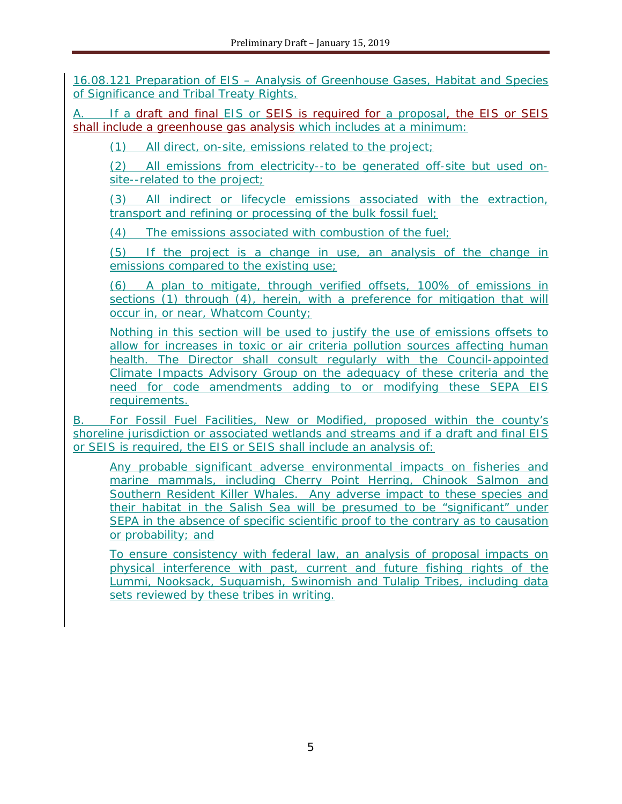16.08.121 Preparation of EIS – Analysis of Greenhouse Gases, Habitat and Species of Significance and Tribal Treaty Rights.

A. If a draft and final EIS or SEIS is required for a proposal, the EIS or SEIS shall include a greenhouse gas analysis which includes at a minimum:

(1) All direct, on-site, emissions related to the project;

(2) All emissions from electricity--to be generated off-site but used onsite--related to the project;

(3) All indirect or lifecycle emissions associated with the extraction, transport and refining or processing of the bulk fossil fuel;

(4) The emissions associated with combustion of the fuel;

(5) If the project is a change in use, an analysis of the change in emissions compared to the existing use;

(6) A plan to mitigate, through verified offsets, 100% of emissions in sections (1) through (4), herein, with a preference for mitigation that will occur in, or near, Whatcom County;

Nothing in this section will be used to justify the use of emissions offsets to allow for increases in toxic or air criteria pollution sources affecting human health. The Director shall consult regularly with the Council-appointed Climate Impacts Advisory Group on the adequacy of these criteria and the need for code amendments adding to or modifying these SEPA EIS requirements.

B. For Fossil Fuel Facilities, New or Modified, proposed within the county's shoreline jurisdiction or associated wetlands and streams and if a draft and final EIS or SEIS is required, the EIS or SEIS shall include an analysis of:

Any probable significant adverse environmental impacts on fisheries and marine mammals, including Cherry Point Herring, Chinook Salmon and Southern Resident Killer Whales. Any adverse impact to these species and their habitat in the Salish Sea will be presumed to be "significant" under SEPA in the absence of specific scientific proof to the contrary as to causation or probability; and

To ensure consistency with federal law, an analysis of proposal impacts on physical interference with past, current and future fishing rights of the Lummi, Nooksack, Suquamish, Swinomish and Tulalip Tribes, including data sets reviewed by these tribes in writing.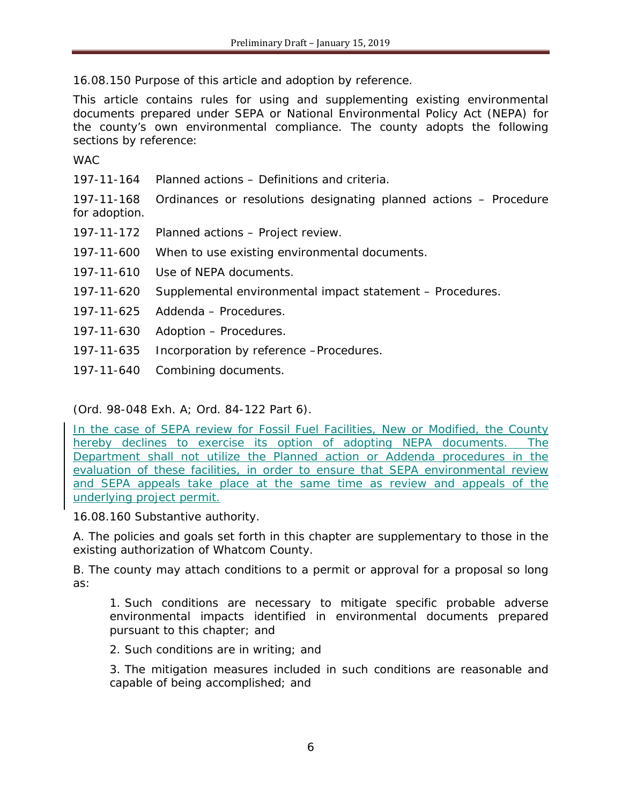16.08.150 Purpose of this article and adoption by reference.

This article contains rules for using and supplementing existing environmental documents prepared under SEPA or National Environmental Policy Act (NEPA) for the county's own environmental compliance. The county adopts the following sections by reference:

WAC

[197-11-164](https://www.codepublishing.com/cgi-bin/wac.pl?cite=197-11-164) Planned actions – Definitions and criteria.

[197-11-168](https://www.codepublishing.com/cgi-bin/wac.pl?cite=197-11-168) Ordinances or resolutions designating planned actions – Procedure for adoption.

- [197-11-172](https://www.codepublishing.com/cgi-bin/wac.pl?cite=197-11-172) Planned actions Project review.
- [197-11-600](https://www.codepublishing.com/cgi-bin/wac.pl?cite=197-11-600) When to use existing environmental documents.
- [197-11-610](https://www.codepublishing.com/cgi-bin/wac.pl?cite=197-11-610) Use of NEPA documents.
- [197-11-620](https://www.codepublishing.com/cgi-bin/wac.pl?cite=197-11-620) Supplemental environmental impact statement Procedures.
- [197-11-625](https://www.codepublishing.com/cgi-bin/wac.pl?cite=197-11-625) Addenda Procedures.
- [197-11-630](https://www.codepublishing.com/cgi-bin/wac.pl?cite=197-11-630) Adoption Procedures.
- [197-11-635](https://www.codepublishing.com/cgi-bin/wac.pl?cite=197-11-635) Incorporation by reference –Procedures.
- [197-11-640](https://www.codepublishing.com/cgi-bin/wac.pl?cite=197-11-640) Combining documents.

(Ord. 98-048 Exh. A; Ord. 84-122 Part 6).

In the case of SEPA review for Fossil Fuel Facilities, New or Modified, the County hereby declines to exercise its option of adopting NEPA documents. The Department shall not utilize the Planned action or Addenda procedures in the evaluation of these facilities, in order to ensure that SEPA environmental review and SEPA appeals take place at the same time as review and appeals of the underlying project permit.

#### 16.08.160 Substantive authority.

A. The policies and goals set forth in this chapter are supplementary to those in the existing authorization of Whatcom County.

B. The county may attach conditions to a permit or approval for a proposal so long as:

1. Such conditions are necessary to mitigate specific probable adverse environmental impacts identified in environmental documents prepared pursuant to this chapter; and

2. Such conditions are in writing; and

3. The mitigation measures included in such conditions are reasonable and capable of being accomplished; and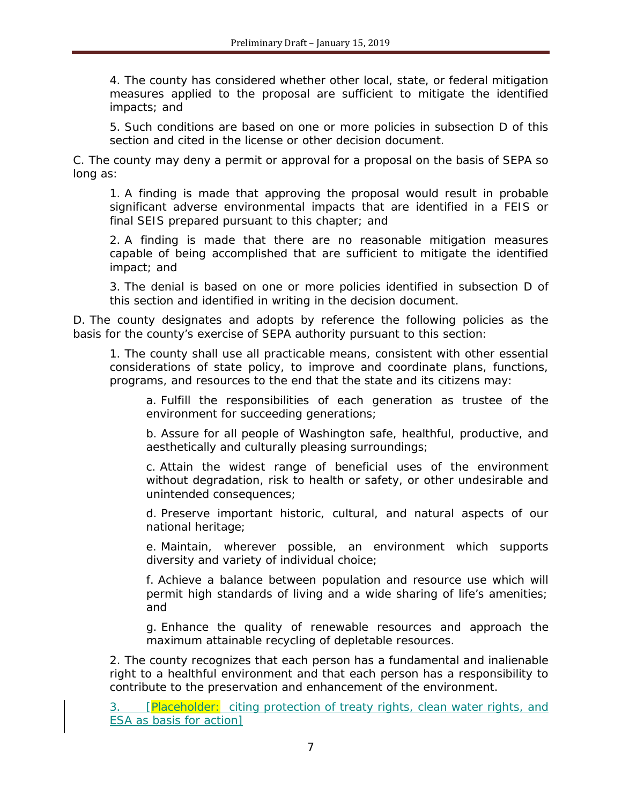4. The county has considered whether other local, state, or federal mitigation measures applied to the proposal are sufficient to mitigate the identified impacts; and

5. Such conditions are based on one or more policies in subsection D of this section and cited in the license or other decision document.

C. The county may deny a permit or approval for a proposal on the basis of SEPA so long as:

1. A finding is made that approving the proposal would result in probable significant adverse environmental impacts that are identified in a FEIS or final SEIS prepared pursuant to this chapter; and

2. A finding is made that there are no reasonable mitigation measures capable of being accomplished that are sufficient to mitigate the identified impact; and

3. The denial is based on one or more policies identified in subsection D of this section and identified in writing in the decision document.

D. The county designates and adopts by reference the following policies as the basis for the county's exercise of SEPA authority pursuant to this section:

1. The county shall use all practicable means, consistent with other essential considerations of state policy, to improve and coordinate plans, functions, programs, and resources to the end that the state and its citizens may:

a. Fulfill the responsibilities of each generation as trustee of the environment for succeeding generations;

b. Assure for all people of Washington safe, healthful, productive, and aesthetically and culturally pleasing surroundings;

c. Attain the widest range of beneficial uses of the environment without degradation, risk to health or safety, or other undesirable and unintended consequences;

d. Preserve important historic, cultural, and natural aspects of our national heritage;

e. Maintain, wherever possible, an environment which supports diversity and variety of individual choice;

f. Achieve a balance between population and resource use which will permit high standards of living and a wide sharing of life's amenities; and

g. Enhance the quality of renewable resources and approach the maximum attainable recycling of depletable resources.

2. The county recognizes that each person has a fundamental and inalienable right to a healthful environment and that each person has a responsibility to contribute to the preservation and enhancement of the environment.

3. **[Placeholder:** citing protection of treaty rights, clean water rights, and ESA as basis for action]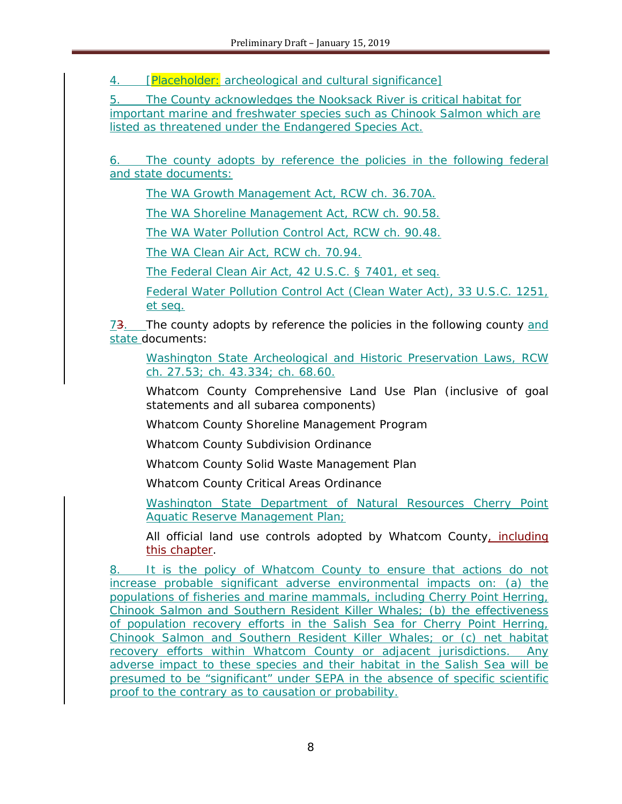4. **[Placeholder:** archeological and cultural significance]

5. The County acknowledges the Nooksack River is critical habitat for important marine and freshwater species such as Chinook Salmon which are listed as threatened under the Endangered Species Act.

6. The county adopts by reference the policies in the following federal and state documents:

The WA Growth Management Act, RCW ch. 36.70A.

The WA Shoreline Management Act, RCW ch. 90.58.

The WA Water Pollution Control Act, RCW ch. 90.48.

The WA Clean Air Act, RCW ch. 70.94.

The Federal Clean Air Act, 42 U.S.C. § 7401, et seq.

Federal Water Pollution Control Act (Clean Water Act), 33 U.S.C. 1251, et seq.

73. The county adopts by reference the policies in the following county and state documents:

Washington State Archeological and Historic Preservation Laws, RCW ch. 27.53; ch. 43.334; ch. 68.60.

Whatcom County Comprehensive Land Use Plan (inclusive of goal statements and all subarea components)

Whatcom County Shoreline Management Program

Whatcom County Subdivision Ordinance

Whatcom County Solid Waste Management Plan

Whatcom County Critical Areas Ordinance

Washington State Department of Natural Resources Cherry Point Aquatic Reserve Management Plan;

All official land use controls adopted by Whatcom County, including this chapter.

8. It is the policy of Whatcom County to ensure that actions do not increase probable significant adverse environmental impacts on: (a) the populations of fisheries and marine mammals, including Cherry Point Herring, Chinook Salmon and Southern Resident Killer Whales; (b) the effectiveness of population recovery efforts in the Salish Sea for Cherry Point Herring, Chinook Salmon and Southern Resident Killer Whales; or (c) net habitat recovery efforts within Whatcom County or adjacent jurisdictions. Any adverse impact to these species and their habitat in the Salish Sea will be presumed to be "significant" under SEPA in the absence of specific scientific proof to the contrary as to causation or probability.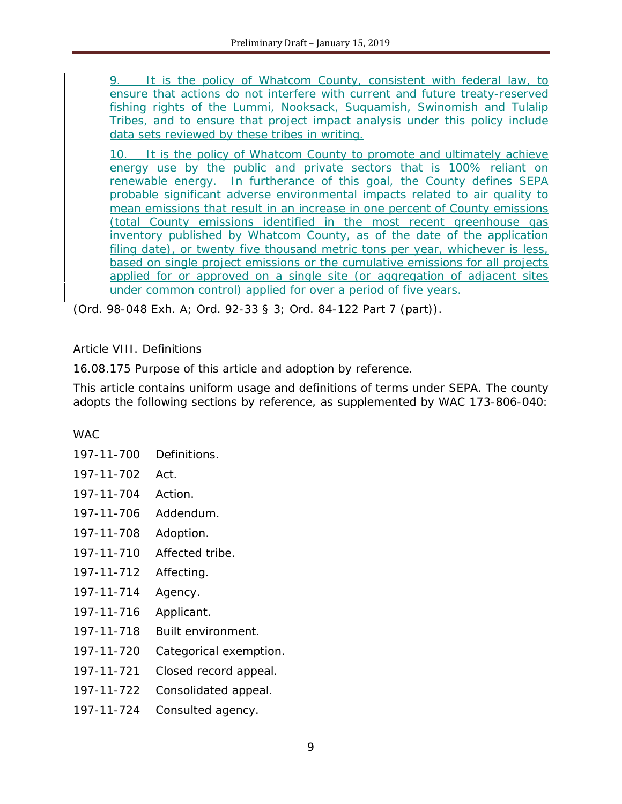9. It is the policy of Whatcom County, consistent with federal law, to ensure that actions do not interfere with current and future treaty-reserved fishing rights of the Lummi, Nooksack, Suquamish, Swinomish and Tulalip Tribes, and to ensure that project impact analysis under this policy include data sets reviewed by these tribes in writing.

10. It is the policy of Whatcom County to promote and ultimately achieve energy use by the public and private sectors that is 100% reliant on renewable energy. In furtherance of this goal, the County defines SEPA probable significant adverse environmental impacts related to air quality to mean emissions that result in an increase in one percent of County emissions (total County emissions identified in the most recent greenhouse gas inventory published by Whatcom County, as of the date of the application filing date), or twenty five thousand metric tons per year, whichever is less, based on single project emissions or the cumulative emissions for all projects applied for or approved on a single site (or aggregation of adjacent sites under common control) applied for over a period of five years.

(Ord. 98-048 Exh. A; Ord. 92-33 § 3; Ord. 84-122 Part 7 (part)).

# Article VIII. Definitions

16.08.175 Purpose of this article and adoption by reference.

This article contains uniform usage and definitions of terms under SEPA. The county adopts the following sections by reference, as supplemented by WAC [173-806-040:](https://www.codepublishing.com/cgi-bin/wac.pl?cite=173-806-040)

## WAC

[197-11-700](https://www.codepublishing.com/cgi-bin/wac.pl?cite=197-11-700) Definitions. [197-11-702](https://www.codepublishing.com/cgi-bin/wac.pl?cite=197-11-702) Act. [197-11-704](https://www.codepublishing.com/cgi-bin/wac.pl?cite=197-11-704) Action. [197-11-706](https://www.codepublishing.com/cgi-bin/wac.pl?cite=197-11-706) Addendum. [197-11-708](https://www.codepublishing.com/cgi-bin/wac.pl?cite=197-11-708) Adoption. [197-11-710](https://www.codepublishing.com/cgi-bin/wac.pl?cite=197-11-710) Affected tribe. [197-11-712](https://www.codepublishing.com/cgi-bin/wac.pl?cite=197-11-712) Affecting. [197-11-714](https://www.codepublishing.com/cgi-bin/wac.pl?cite=197-11-714) Agency. [197-11-716](https://www.codepublishing.com/cgi-bin/wac.pl?cite=197-11-716) Applicant. [197-11-718](https://www.codepublishing.com/cgi-bin/wac.pl?cite=197-11-718) Built environment. [197-11-720](https://www.codepublishing.com/cgi-bin/wac.pl?cite=197-11-720) Categorical exemption. [197-11-721](https://www.codepublishing.com/cgi-bin/wac.pl?cite=197-11-721) Closed record appeal. [197-11-722](https://www.codepublishing.com/cgi-bin/wac.pl?cite=197-11-722) Consolidated appeal. [197-11-724](https://www.codepublishing.com/cgi-bin/wac.pl?cite=197-11-724) Consulted agency.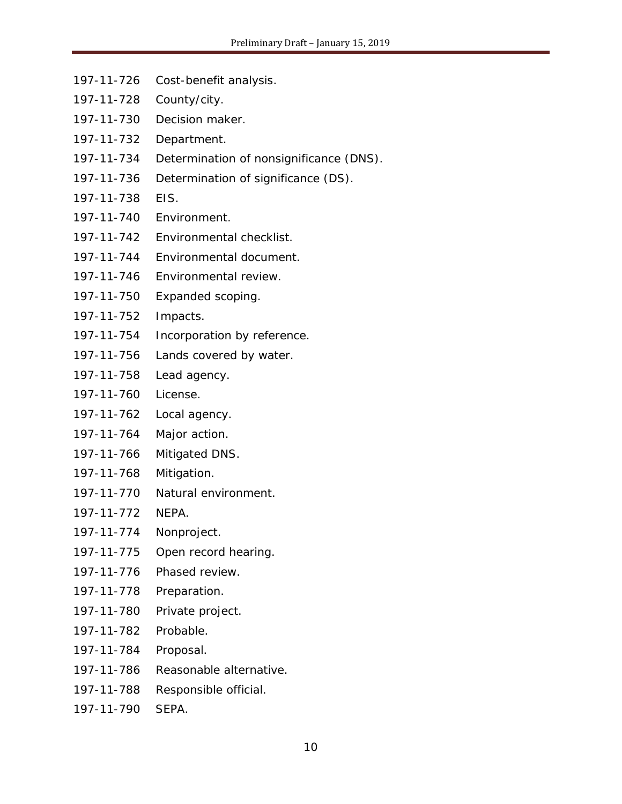- [197-11-726](https://www.codepublishing.com/cgi-bin/wac.pl?cite=197-11-726) Cost-benefit analysis.
- [197-11-728](https://www.codepublishing.com/cgi-bin/wac.pl?cite=197-11-728) County/city.
- [197-11-730](https://www.codepublishing.com/cgi-bin/wac.pl?cite=197-11-730) Decision maker.
- [197-11-732](https://www.codepublishing.com/cgi-bin/wac.pl?cite=197-11-732) Department.
- [197-11-734](https://www.codepublishing.com/cgi-bin/wac.pl?cite=197-11-734) Determination of nonsignificance (DNS).
- [197-11-736](https://www.codepublishing.com/cgi-bin/wac.pl?cite=197-11-736) Determination of significance (DS).
- [197-11-738](https://www.codepublishing.com/cgi-bin/wac.pl?cite=197-11-738) EIS.
- [197-11-740](https://www.codepublishing.com/cgi-bin/wac.pl?cite=197-11-740) Environment.
- [197-11-742](https://www.codepublishing.com/cgi-bin/wac.pl?cite=197-11-742) Environmental checklist.
- [197-11-744](https://www.codepublishing.com/cgi-bin/wac.pl?cite=197-11-744) Environmental document.
- [197-11-746](https://www.codepublishing.com/cgi-bin/wac.pl?cite=197-11-746) Environmental review.
- [197-11-750](https://www.codepublishing.com/cgi-bin/wac.pl?cite=197-11-750) Expanded scoping.
- [197-11-752](https://www.codepublishing.com/cgi-bin/wac.pl?cite=197-11-752) Impacts.
- [197-11-754](https://www.codepublishing.com/cgi-bin/wac.pl?cite=197-11-754) Incorporation by reference.
- [197-11-756](https://www.codepublishing.com/cgi-bin/wac.pl?cite=197-11-756) Lands covered by water.
- [197-11-758](https://www.codepublishing.com/cgi-bin/wac.pl?cite=197-11-758) Lead agency.
- [197-11-760](https://www.codepublishing.com/cgi-bin/wac.pl?cite=197-11-760) License.
- [197-11-762](https://www.codepublishing.com/cgi-bin/wac.pl?cite=197-11-762) Local agency.
- [197-11-764](https://www.codepublishing.com/cgi-bin/wac.pl?cite=197-11-764) Major action.
- [197-11-766](https://www.codepublishing.com/cgi-bin/wac.pl?cite=197-11-766) Mitigated DNS.
- [197-11-768](https://www.codepublishing.com/cgi-bin/wac.pl?cite=197-11-768) Mitigation.
- [197-11-770](https://www.codepublishing.com/cgi-bin/wac.pl?cite=197-11-770) Natural environment.
- [197-11-772](https://www.codepublishing.com/cgi-bin/wac.pl?cite=197-11-772) NEPA.
- [197-11-774](https://www.codepublishing.com/cgi-bin/wac.pl?cite=197-11-774) Nonproject.
- [197-11-775](https://www.codepublishing.com/cgi-bin/wac.pl?cite=197-11-775) Open record hearing.
- [197-11-776](https://www.codepublishing.com/cgi-bin/wac.pl?cite=197-11-776) Phased review.
- [197-11-778](https://www.codepublishing.com/cgi-bin/wac.pl?cite=197-11-778) Preparation.
- [197-11-780](https://www.codepublishing.com/cgi-bin/wac.pl?cite=197-11-780) Private project.
- [197-11-782](https://www.codepublishing.com/cgi-bin/wac.pl?cite=197-11-782) Probable.
- [197-11-784](https://www.codepublishing.com/cgi-bin/wac.pl?cite=197-11-784) Proposal.
- [197-11-786](https://www.codepublishing.com/cgi-bin/wac.pl?cite=197-11-786) Reasonable alternative.
- [197-11-788](https://www.codepublishing.com/cgi-bin/wac.pl?cite=197-11-788) Responsible official.
- [197-11-790](https://www.codepublishing.com/cgi-bin/wac.pl?cite=197-11-790) SEPA.